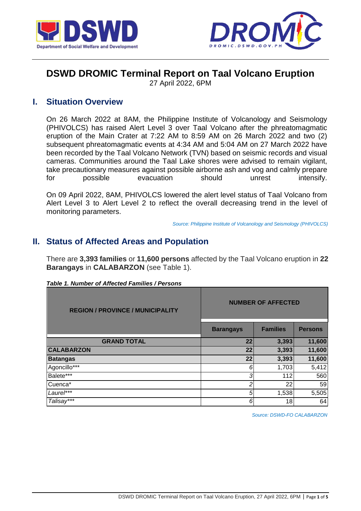



# **DSWD DROMIC Terminal Report on Taal Volcano Eruption**

27 April 2022, 6PM

### **I. Situation Overview**

On 26 March 2022 at 8AM, the Philippine Institute of Volcanology and Seismology (PHIVOLCS) has raised Alert Level 3 over Taal Volcano after the phreatomagmatic eruption of the Main Crater at 7:22 AM to 8:59 AM on 26 March 2022 and two (2) subsequent phreatomagmatic events at 4:34 AM and 5:04 AM on 27 March 2022 have been recorded by the Taal Volcano Network (TVN) based on seismic records and visual cameras. Communities around the Taal Lake shores were advised to remain vigilant, take precautionary measures against possible airborne ash and vog and calmly prepare for possible evacuation should unrest intensify.

On 09 April 2022, 8AM, PHIVOLCS lowered the alert level status of Taal Volcano from Alert Level 3 to Alert Level 2 to reflect the overall decreasing trend in the level of monitoring parameters.

*Source: Philippine Institute of Volcanology and Seismology (PHIVOLCS)*

# **II. Status of Affected Areas and Population**

There are **3,393 families** or **11,600 persons** affected by the Taal Volcano eruption in **22 Barangays** in **CALABARZON** (see Table 1).

| <b>REGION / PROVINCE / MUNICIPALITY</b> | <b>NUMBER OF AFFECTED</b> |                 |                |  |  |
|-----------------------------------------|---------------------------|-----------------|----------------|--|--|
|                                         | <b>Barangays</b>          | <b>Families</b> | <b>Persons</b> |  |  |
| <b>GRAND TOTAL</b>                      | 22                        | 3,393           | 11,600         |  |  |
| <b>CALABARZON</b>                       | 22                        | 3,393           | 11,600         |  |  |
| <b>Batangas</b>                         | 22                        | 3,393           | 11,600         |  |  |
| Agoncillo***                            | 6                         | 1,703           | 5,412          |  |  |
| Balete***                               | 3                         | 112             | 560            |  |  |
| Cuenca*                                 | 2                         | 22              | 59             |  |  |
| Laurel***                               | 5                         | 1,538           | 5,505          |  |  |
| Talisay***                              | 6                         | 18              | 64             |  |  |

|  |  |  | Table 1. Number of Affected Families / Persons |  |
|--|--|--|------------------------------------------------|--|
|--|--|--|------------------------------------------------|--|

*Source: DSWD-FO CALABARZON*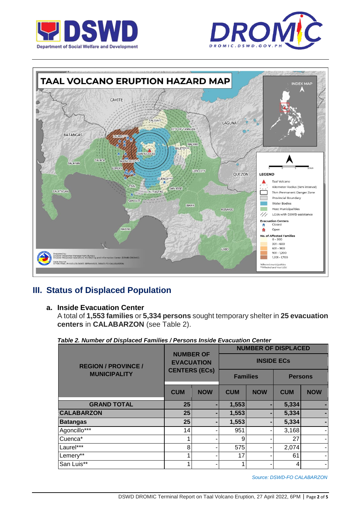





# **III. Status of Displaced Population**

#### **a. Inside Evacuation Center**

A total of **1,553 families** or **5,334 persons** sought temporary shelter in **25 evacuation centers** in **CALABARZON** (see Table 2).

|  |  |  | Table 2. Number of Displaced Families / Persons Inside Evacuation Center |  |
|--|--|--|--------------------------------------------------------------------------|--|
|  |  |  |                                                                          |  |

|                            |                                       |                      | <b>NUMBER OF DISPLACED</b>        |            |            |            |  |
|----------------------------|---------------------------------------|----------------------|-----------------------------------|------------|------------|------------|--|
| <b>REGION / PROVINCE /</b> | <b>NUMBER OF</b><br><b>EVACUATION</b> |                      | <b>INSIDE ECS</b>                 |            |            |            |  |
| <b>MUNICIPALITY</b>        |                                       | <b>CENTERS (ECs)</b> | <b>Families</b><br><b>Persons</b> |            |            |            |  |
|                            | <b>CUM</b>                            | <b>NOW</b>           | <b>CUM</b>                        | <b>NOW</b> | <b>CUM</b> | <b>NOW</b> |  |
| <b>GRAND TOTAL</b>         | 25                                    |                      | 1,553                             |            | 5,334      |            |  |
| <b>CALABARZON</b>          | 25                                    |                      | 1,553                             |            | 5,334      | ٠          |  |
| <b>Batangas</b>            | 25                                    |                      | 1,553                             |            | 5,334      |            |  |
| Agoncillo***               | 14                                    |                      | 951                               |            | 3,168      | ۰          |  |
| Cuenca*                    |                                       |                      | 9                                 |            | 27         | ٠          |  |
| Laurel***                  | 8                                     |                      | 575                               |            | 2,074      | ۰          |  |
| Lemery**                   | 1                                     |                      | 17                                |            | 61         | ٠          |  |
| San Luis**                 | 4                                     |                      |                                   |            | 4          |            |  |

*Source: DSWD-FO CALABARZON*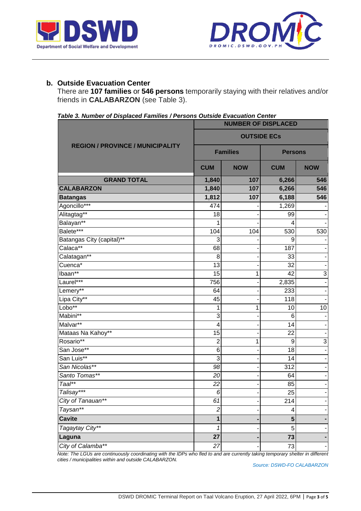



#### **b. Outside Evacuation Center**

There are **107 families** or **546 persons** temporarily staying with their relatives and/or friends in **CALABARZON** (see Table 3).

|  | Table 3. Number of Displaced Families / Persons Outside Evacuation Center |  |  |
|--|---------------------------------------------------------------------------|--|--|
|  |                                                                           |  |  |

|                                         | <b>NUMBER OF DISPLACED</b> |                 |                |                           |  |  |
|-----------------------------------------|----------------------------|-----------------|----------------|---------------------------|--|--|
|                                         | <b>OUTSIDE ECS</b>         |                 |                |                           |  |  |
| <b>REGION / PROVINCE / MUNICIPALITY</b> |                            | <b>Families</b> | <b>Persons</b> |                           |  |  |
|                                         | <b>CUM</b>                 | <b>NOW</b>      | <b>CUM</b>     | <b>NOW</b>                |  |  |
| <b>GRAND TOTAL</b>                      | 1,840                      | 107             | 6,266          | 546                       |  |  |
| <b>CALABARZON</b>                       | 1,840                      | 107             | 6,266          | 546                       |  |  |
| <b>Batangas</b>                         | 1,812                      | 107             | 6,188          | 546                       |  |  |
| Agoncillo***                            | 474                        |                 | 1,269          |                           |  |  |
| Alitagtag**                             | 18                         |                 | 99             |                           |  |  |
| Balayan**                               | 1                          |                 | 4              | $\overline{\phantom{0}}$  |  |  |
| Balete***                               | 104                        | 104             | 530            | 530                       |  |  |
| Batangas City (capital)**               | 3                          |                 | 9              |                           |  |  |
| Calaca**                                | 68                         |                 | 187            | $\overline{\phantom{0}}$  |  |  |
| Calatagan**                             | 8                          |                 | 33             | -                         |  |  |
| $Cuenca*$                               | 13                         |                 | 32             |                           |  |  |
| Ibaan**                                 | 15                         | 1               | 42             | $\ensuremath{\mathsf{3}}$ |  |  |
| Laurel***                               | 756                        |                 | 2,835          |                           |  |  |
| Lemery**                                | 64                         |                 | 233            | $\overline{\phantom{a}}$  |  |  |
| Lipa City**                             | 45                         |                 | 118            | $\blacksquare$            |  |  |
| Lobo**                                  | 1                          | 1               | 10             | 10                        |  |  |
| Mabini**                                | $\overline{3}$             |                 | 6              |                           |  |  |
| Malvar**                                | $\overline{\mathcal{A}}$   |                 | 14             | ÷,                        |  |  |
| Mataas Na Kahoy**                       | 15                         |                 | 22             |                           |  |  |
| Rosario**                               | $\overline{c}$             | 1               | 9              | $\ensuremath{\mathsf{3}}$ |  |  |
| San Jose**                              | 6                          |                 | 18             | $\blacksquare$            |  |  |
| San Luis**                              | $\overline{3}$             |                 | 14             | ۰                         |  |  |
| San Nicolas**                           | 98                         |                 | 312            | -                         |  |  |
| Santo Tomas**                           | $\overline{20}$            |                 | 64             | -                         |  |  |
| $Taal**$                                | 22                         |                 | 85             | $\overline{\phantom{0}}$  |  |  |
| Talisay'                                | 6                          |                 | 25             |                           |  |  |
| City of Tanauan**                       | 61                         |                 | 214            | ÷                         |  |  |
| Taysan**                                | $\overline{\mathbf{c}}$    |                 | 4              | -                         |  |  |
| <b>Cavite</b>                           | 1                          |                 | 5              | ٠                         |  |  |
| Tagaytay City**                         | 1                          |                 | 5              | -                         |  |  |
| Laguna                                  | 27                         |                 | 73             | ۳                         |  |  |
| City of Calamba**                       | 27                         |                 | 73             | Ξ.                        |  |  |

*Note: The LGUs are continuously coordinating with the IDPs who fled to and are currently taking temporary shelter in different cities / municipalities within and outside CALABARZON.* 

*Source: DSWD-FO CALABARZON*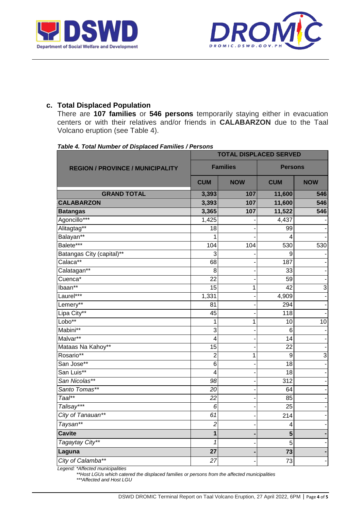



#### **c. Total Displaced Population**

There are **107 families** or **546 persons** temporarily staying either in evacuation centers or with their relatives and/or friends in **CALABARZON** due to the Taal Volcano eruption (see Table 4).

| , univ<br><i>F. Total Namber of Biopiacea Parmics</i> / <i>P</i> | .<br><b>TOTAL DISPLACED SERVED</b> |                 |                |                |  |
|------------------------------------------------------------------|------------------------------------|-----------------|----------------|----------------|--|
| <b>REGION / PROVINCE / MUNICIPALITY</b>                          |                                    | <b>Families</b> | <b>Persons</b> |                |  |
|                                                                  | <b>CUM</b>                         | <b>NOW</b>      | <b>CUM</b>     | <b>NOW</b>     |  |
| <b>GRAND TOTAL</b>                                               | 3,393                              | 107             | 11,600         | 546            |  |
| <b>CALABARZON</b>                                                | 3,393                              | 107             | 11,600         | 546            |  |
| <b>Batangas</b>                                                  | 3,365                              | 107             | 11,522         | 546            |  |
| Agoncillo***                                                     | 1,425                              |                 | 4,437          |                |  |
| Alitagtag**                                                      | 18                                 |                 | 99             |                |  |
| Balayan**                                                        | 1                                  |                 | 4              |                |  |
| Balete***                                                        | 104                                | 104             | 530            | 530            |  |
| Batangas City (capital)**                                        | 3                                  |                 | 9              |                |  |
| Calaca**                                                         | 68                                 |                 | 187            |                |  |
| Calatagan**                                                      | 8                                  |                 | 33             |                |  |
| Cuenca*                                                          | 22                                 |                 | 59             |                |  |
| Ibaan**                                                          | 15                                 | $\mathbf 1$     | 42             | 3              |  |
| Laurel***                                                        | 1,331                              |                 | 4,909          |                |  |
| Lemery**                                                         | 81                                 |                 | 294            |                |  |
| Lipa City**                                                      | 45                                 |                 | 118            |                |  |
| Lobo**                                                           | 1                                  | 1               | 10             | 10             |  |
| Mabini**                                                         | 3                                  |                 | 6              |                |  |
| Malvar**                                                         | 4                                  |                 | 14             |                |  |
| Mataas Na Kahoy**                                                | 15                                 |                 | 22             |                |  |
| Rosario**                                                        | $\overline{2}$                     | 1               | 9              | $\overline{3}$ |  |
| San Jose**                                                       | $\overline{6}$                     |                 | 18             |                |  |
| San Luis**                                                       | $\overline{\mathbf{4}}$            |                 | 18             |                |  |
| San Nicolas**                                                    | 98                                 |                 | 312            |                |  |
| Santo Tomas**                                                    | $\overline{20}$                    |                 | 64             |                |  |
| $Taal**$                                                         | $\overline{22}$                    |                 | 85             |                |  |
| Talisay***                                                       | 6                                  |                 | 25             |                |  |
| City of Tanauan**                                                | 61                                 |                 | 214            |                |  |
| Taysan**                                                         | $\overline{c}$                     |                 | 4              |                |  |
| Cavite                                                           | 1                                  |                 | 5              |                |  |
| Tagaytay City**                                                  | 1                                  |                 | 5              |                |  |
| Laguna                                                           | 27                                 |                 | 73             |                |  |
| City of Calamba**                                                | 27                                 |                 | 73             |                |  |

#### *Table 4. Total Number of Displaced Families / Persons*

*Legend: \*Affected municipalities*

*\*\*Host LGUs which catered the displaced families or persons from the affected municipalities* 

*\*\*\*Affected and Host LGU*